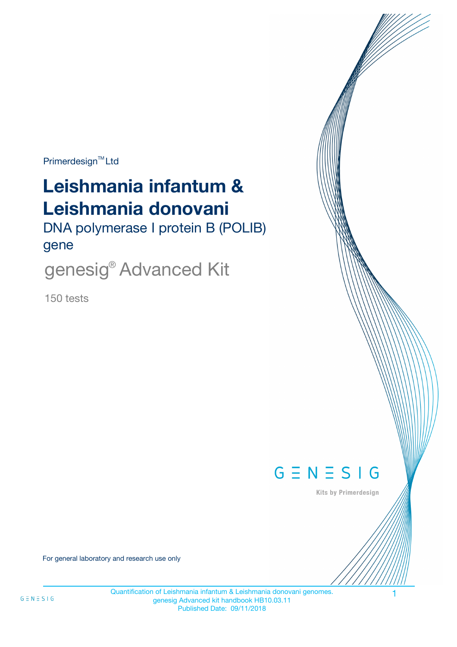$Primerdesign^{\text{TM}}$ Ltd

# **Leishmania infantum & Leishmania donovani**

DNA polymerase I protein B (POLIB) gene

genesig® Advanced Kit

150 tests



Kits by Primerdesign

For general laboratory and research use only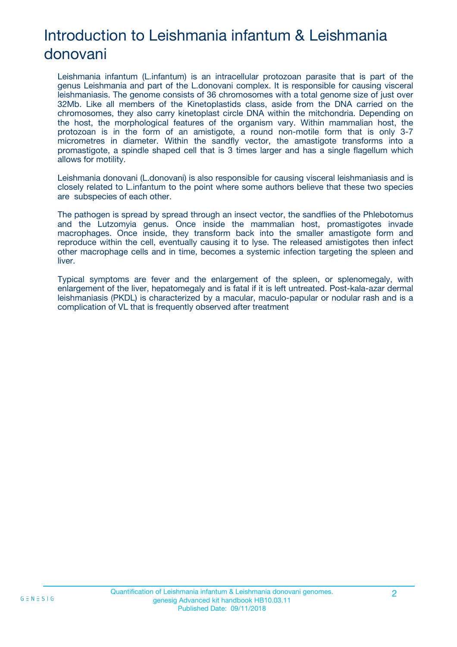# Introduction to Leishmania infantum & Leishmania donovani

Leishmania infantum (L.infantum) is an intracellular protozoan parasite that is part of the genus Leishmania and part of the L.donovani complex. It is responsible for causing visceral leishmaniasis. The genome consists of 36 chromosomes with a total genome size of just over 32Mb. Like all members of the Kinetoplastids class, aside from the DNA carried on the chromosomes, they also carry kinetoplast circle DNA within the mitchondria. Depending on the host, the morphological features of the organism vary. Within mammalian host, the protozoan is in the form of an amistigote, a round non-motile form that is only 3-7 micrometres in diameter. Within the sandfly vector, the amastigote transforms into a promastigote, a spindle shaped cell that is 3 times larger and has a single flagellum which allows for motility.

Leishmania donovani (L.donovani) is also responsible for causing visceral leishmaniasis and is closely related to L.infantum to the point where some authors believe that these two species are subspecies of each other.

The pathogen is spread by spread through an insect vector, the sandflies of the Phlebotomus and the Lutzomyia genus. Once inside the mammalian host, promastigotes invade macrophages. Once inside, they transform back into the smaller amastigote form and reproduce within the cell, eventually causing it to lyse. The released amistigotes then infect other macrophage cells and in time, becomes a systemic infection targeting the spleen and liver.

Typical symptoms are fever and the enlargement of the spleen, or splenomegaly, with enlargement of the liver, hepatomegaly and is fatal if it is left untreated. Post-kala-azar dermal leishmaniasis (PKDL) is characterized by a macular, maculo-papular or nodular rash and is a complication of VL that is frequently observed after treatment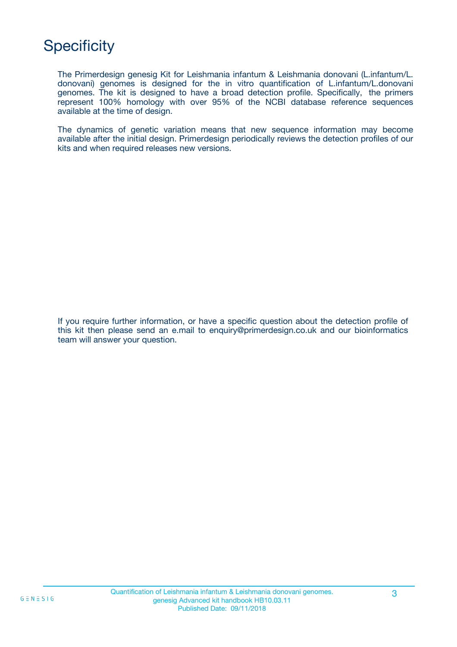# **Specificity**

The Primerdesign genesig Kit for Leishmania infantum & Leishmania donovani (L.infantum/L. donovani) genomes is designed for the in vitro quantification of L.infantum/L.donovani genomes. The kit is designed to have a broad detection profile. Specifically, the primers represent 100% homology with over 95% of the NCBI database reference sequences available at the time of design.

The dynamics of genetic variation means that new sequence information may become available after the initial design. Primerdesign periodically reviews the detection profiles of our kits and when required releases new versions.

If you require further information, or have a specific question about the detection profile of this kit then please send an e.mail to enquiry@primerdesign.co.uk and our bioinformatics team will answer your question.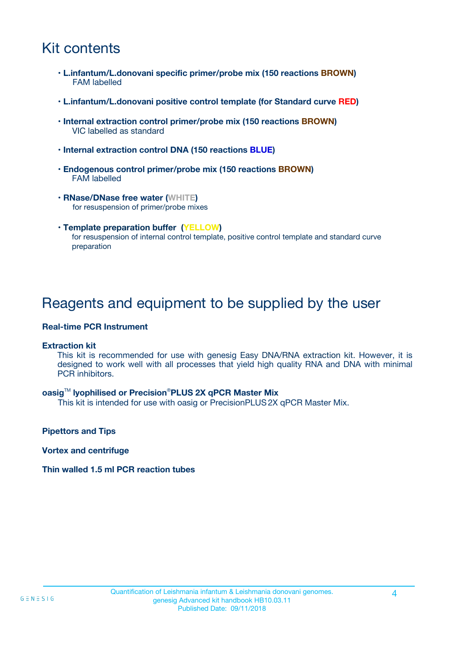# Kit contents

- **L.infantum/L.donovani specific primer/probe mix (150 reactions BROWN)** FAM labelled
- **L.infantum/L.donovani positive control template (for Standard curve RED)**
- **Internal extraction control primer/probe mix (150 reactions BROWN)** VIC labelled as standard
- **Internal extraction control DNA (150 reactions BLUE)**
- **Endogenous control primer/probe mix (150 reactions BROWN)** FAM labelled
- **RNase/DNase free water (WHITE)** for resuspension of primer/probe mixes
- **Template preparation buffer (YELLOW)** for resuspension of internal control template, positive control template and standard curve preparation

### Reagents and equipment to be supplied by the user

#### **Real-time PCR Instrument**

#### **Extraction kit**

This kit is recommended for use with genesig Easy DNA/RNA extraction kit. However, it is designed to work well with all processes that yield high quality RNA and DNA with minimal PCR inhibitors.

#### **oasig**TM **lyophilised or Precision**®**PLUS 2X qPCR Master Mix**

This kit is intended for use with oasig or PrecisionPLUS2X qPCR Master Mix.

**Pipettors and Tips**

**Vortex and centrifuge**

#### **Thin walled 1.5 ml PCR reaction tubes**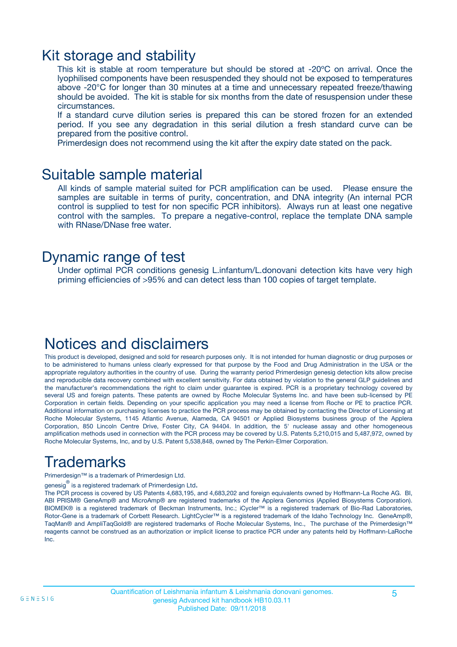### Kit storage and stability

This kit is stable at room temperature but should be stored at -20ºC on arrival. Once the lyophilised components have been resuspended they should not be exposed to temperatures above -20°C for longer than 30 minutes at a time and unnecessary repeated freeze/thawing should be avoided. The kit is stable for six months from the date of resuspension under these circumstances.

If a standard curve dilution series is prepared this can be stored frozen for an extended period. If you see any degradation in this serial dilution a fresh standard curve can be prepared from the positive control.

Primerdesign does not recommend using the kit after the expiry date stated on the pack.

### Suitable sample material

All kinds of sample material suited for PCR amplification can be used. Please ensure the samples are suitable in terms of purity, concentration, and DNA integrity (An internal PCR control is supplied to test for non specific PCR inhibitors). Always run at least one negative control with the samples. To prepare a negative-control, replace the template DNA sample with RNase/DNase free water.

### Dynamic range of test

Under optimal PCR conditions genesig L.infantum/L.donovani detection kits have very high priming efficiencies of >95% and can detect less than 100 copies of target template.

### Notices and disclaimers

This product is developed, designed and sold for research purposes only. It is not intended for human diagnostic or drug purposes or to be administered to humans unless clearly expressed for that purpose by the Food and Drug Administration in the USA or the appropriate regulatory authorities in the country of use. During the warranty period Primerdesign genesig detection kits allow precise and reproducible data recovery combined with excellent sensitivity. For data obtained by violation to the general GLP guidelines and the manufacturer's recommendations the right to claim under guarantee is expired. PCR is a proprietary technology covered by several US and foreign patents. These patents are owned by Roche Molecular Systems Inc. and have been sub-licensed by PE Corporation in certain fields. Depending on your specific application you may need a license from Roche or PE to practice PCR. Additional information on purchasing licenses to practice the PCR process may be obtained by contacting the Director of Licensing at Roche Molecular Systems, 1145 Atlantic Avenue, Alameda, CA 94501 or Applied Biosystems business group of the Applera Corporation, 850 Lincoln Centre Drive, Foster City, CA 94404. In addition, the 5' nuclease assay and other homogeneous amplification methods used in connection with the PCR process may be covered by U.S. Patents 5,210,015 and 5,487,972, owned by Roche Molecular Systems, Inc, and by U.S. Patent 5,538,848, owned by The Perkin-Elmer Corporation.

# Trademarks

Primerdesign™ is a trademark of Primerdesign Ltd.

genesig $^\circledR$  is a registered trademark of Primerdesign Ltd.

The PCR process is covered by US Patents 4,683,195, and 4,683,202 and foreign equivalents owned by Hoffmann-La Roche AG. BI, ABI PRISM® GeneAmp® and MicroAmp® are registered trademarks of the Applera Genomics (Applied Biosystems Corporation). BIOMEK® is a registered trademark of Beckman Instruments, Inc.; iCycler™ is a registered trademark of Bio-Rad Laboratories, Rotor-Gene is a trademark of Corbett Research. LightCycler™ is a registered trademark of the Idaho Technology Inc. GeneAmp®, TaqMan® and AmpliTaqGold® are registered trademarks of Roche Molecular Systems, Inc., The purchase of the Primerdesign™ reagents cannot be construed as an authorization or implicit license to practice PCR under any patents held by Hoffmann-LaRoche Inc.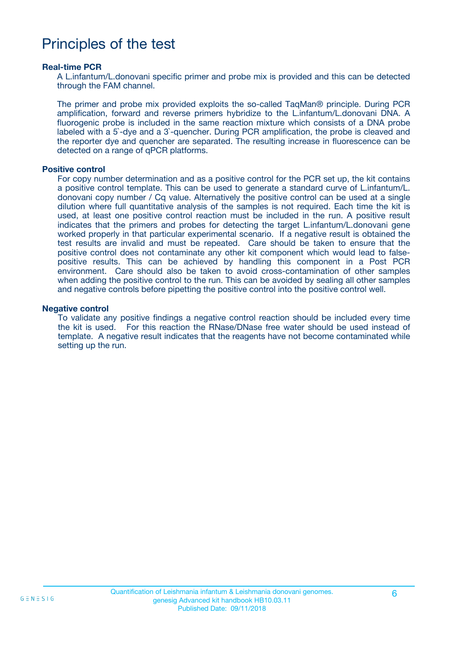## Principles of the test

#### **Real-time PCR**

A L.infantum/L.donovani specific primer and probe mix is provided and this can be detected through the FAM channel.

The primer and probe mix provided exploits the so-called TaqMan® principle. During PCR amplification, forward and reverse primers hybridize to the L.infantum/L.donovani DNA. A fluorogenic probe is included in the same reaction mixture which consists of a DNA probe labeled with a 5`-dye and a 3`-quencher. During PCR amplification, the probe is cleaved and the reporter dye and quencher are separated. The resulting increase in fluorescence can be detected on a range of qPCR platforms.

#### **Positive control**

For copy number determination and as a positive control for the PCR set up, the kit contains a positive control template. This can be used to generate a standard curve of L.infantum/L. donovani copy number / Cq value. Alternatively the positive control can be used at a single dilution where full quantitative analysis of the samples is not required. Each time the kit is used, at least one positive control reaction must be included in the run. A positive result indicates that the primers and probes for detecting the target L.infantum/L.donovani gene worked properly in that particular experimental scenario. If a negative result is obtained the test results are invalid and must be repeated. Care should be taken to ensure that the positive control does not contaminate any other kit component which would lead to falsepositive results. This can be achieved by handling this component in a Post PCR environment. Care should also be taken to avoid cross-contamination of other samples when adding the positive control to the run. This can be avoided by sealing all other samples and negative controls before pipetting the positive control into the positive control well.

#### **Negative control**

To validate any positive findings a negative control reaction should be included every time the kit is used. For this reaction the RNase/DNase free water should be used instead of template. A negative result indicates that the reagents have not become contaminated while setting up the run.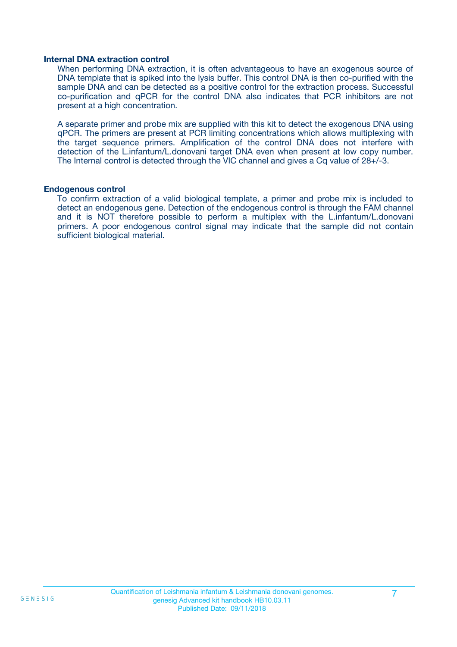#### **Internal DNA extraction control**

When performing DNA extraction, it is often advantageous to have an exogenous source of DNA template that is spiked into the lysis buffer. This control DNA is then co-purified with the sample DNA and can be detected as a positive control for the extraction process. Successful co-purification and qPCR for the control DNA also indicates that PCR inhibitors are not present at a high concentration.

A separate primer and probe mix are supplied with this kit to detect the exogenous DNA using qPCR. The primers are present at PCR limiting concentrations which allows multiplexing with the target sequence primers. Amplification of the control DNA does not interfere with detection of the L.infantum/L.donovani target DNA even when present at low copy number. The Internal control is detected through the VIC channel and gives a Cq value of 28+/-3.

#### **Endogenous control**

To confirm extraction of a valid biological template, a primer and probe mix is included to detect an endogenous gene. Detection of the endogenous control is through the FAM channel and it is NOT therefore possible to perform a multiplex with the L.infantum/L.donovani primers. A poor endogenous control signal may indicate that the sample did not contain sufficient biological material.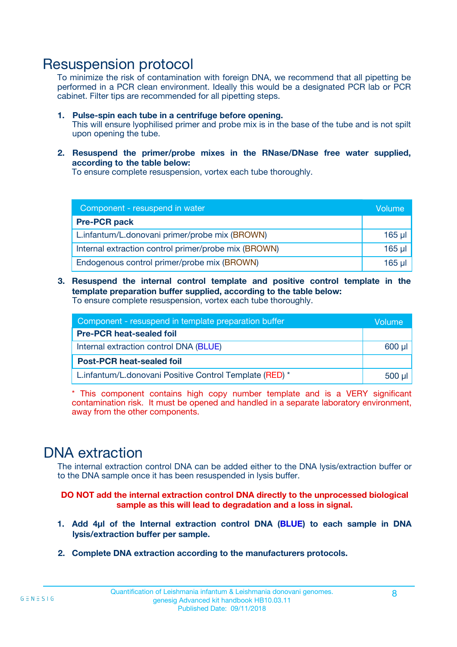### Resuspension protocol

To minimize the risk of contamination with foreign DNA, we recommend that all pipetting be performed in a PCR clean environment. Ideally this would be a designated PCR lab or PCR cabinet. Filter tips are recommended for all pipetting steps.

- **1. Pulse-spin each tube in a centrifuge before opening.** This will ensure lyophilised primer and probe mix is in the base of the tube and is not spilt upon opening the tube.
- **2. Resuspend the primer/probe mixes in the RNase/DNase free water supplied, according to the table below:**

To ensure complete resuspension, vortex each tube thoroughly.

| Component - resuspend in water                       |          |  |
|------------------------------------------------------|----------|--|
| <b>Pre-PCR pack</b>                                  |          |  |
| L.infantum/L.donovani primer/probe mix (BROWN)       | $165$ µl |  |
| Internal extraction control primer/probe mix (BROWN) | $165$ µl |  |
| Endogenous control primer/probe mix (BROWN)          | 165 µl   |  |

**3. Resuspend the internal control template and positive control template in the template preparation buffer supplied, according to the table below:** To ensure complete resuspension, vortex each tube thoroughly.

| Component - resuspend in template preparation buffer    |          |  |
|---------------------------------------------------------|----------|--|
| <b>Pre-PCR heat-sealed foil</b>                         |          |  |
| Internal extraction control DNA (BLUE)                  |          |  |
| <b>Post-PCR heat-sealed foil</b>                        |          |  |
| L.infantum/L.donovani Positive Control Template (RED) * | $500$ µl |  |

\* This component contains high copy number template and is a VERY significant contamination risk. It must be opened and handled in a separate laboratory environment, away from the other components.

### DNA extraction

The internal extraction control DNA can be added either to the DNA lysis/extraction buffer or to the DNA sample once it has been resuspended in lysis buffer.

**DO NOT add the internal extraction control DNA directly to the unprocessed biological sample as this will lead to degradation and a loss in signal.**

- **1. Add 4µl of the Internal extraction control DNA (BLUE) to each sample in DNA lysis/extraction buffer per sample.**
- **2. Complete DNA extraction according to the manufacturers protocols.**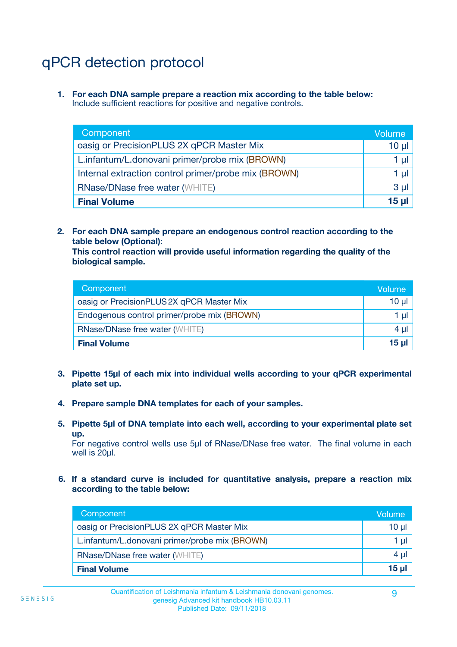# qPCR detection protocol

**1. For each DNA sample prepare a reaction mix according to the table below:** Include sufficient reactions for positive and negative controls.

| Component                                            | Volume       |
|------------------------------------------------------|--------------|
| oasig or PrecisionPLUS 2X qPCR Master Mix            | 10 µ $\vert$ |
| L.infantum/L.donovani primer/probe mix (BROWN)       | 1 µl         |
| Internal extraction control primer/probe mix (BROWN) | 1 µl         |
| <b>RNase/DNase free water (WHITE)</b>                | $3 \mu$      |
| <b>Final Volume</b>                                  | 15 ul        |

**2. For each DNA sample prepare an endogenous control reaction according to the table below (Optional):**

**This control reaction will provide useful information regarding the quality of the biological sample.**

| Component                                   | Volume          |
|---------------------------------------------|-----------------|
| oasig or PrecisionPLUS 2X qPCR Master Mix   | 10 <sub>µ</sub> |
| Endogenous control primer/probe mix (BROWN) | 1 µI            |
| <b>RNase/DNase free water (WHITE)</b>       | $4 \mu$         |
| <b>Final Volume</b>                         | 15 µl           |

- **3. Pipette 15µl of each mix into individual wells according to your qPCR experimental plate set up.**
- **4. Prepare sample DNA templates for each of your samples.**
- **5. Pipette 5µl of DNA template into each well, according to your experimental plate set up.**

For negative control wells use 5µl of RNase/DNase free water. The final volume in each well is 20ul.

**6. If a standard curve is included for quantitative analysis, prepare a reaction mix according to the table below:**

| Component                                      | Volume          |
|------------------------------------------------|-----------------|
| oasig or PrecisionPLUS 2X qPCR Master Mix      | 10 $\mu$        |
| L.infantum/L.donovani primer/probe mix (BROWN) | 1 µI            |
| <b>RNase/DNase free water (WHITE)</b>          | $4 \mu$         |
| <b>Final Volume</b>                            | 15 <sub>µ</sub> |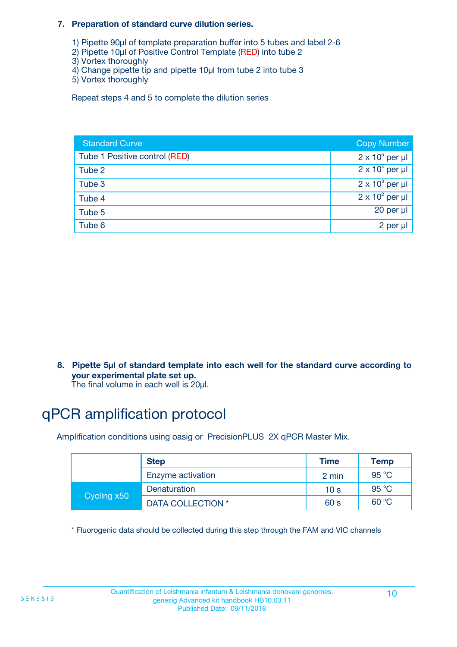#### **7. Preparation of standard curve dilution series.**

- 1) Pipette 90µl of template preparation buffer into 5 tubes and label 2-6
- 2) Pipette 10µl of Positive Control Template (RED) into tube 2
- 3) Vortex thoroughly
- 4) Change pipette tip and pipette 10µl from tube 2 into tube 3
- 5) Vortex thoroughly

Repeat steps 4 and 5 to complete the dilution series

| <b>Standard Curve</b>         | <b>Copy Number</b>     |
|-------------------------------|------------------------|
| Tube 1 Positive control (RED) | $2 \times 10^5$ per µl |
| Tube 2                        | $2 \times 10^4$ per µl |
| Tube 3                        | $2 \times 10^3$ per µl |
| Tube 4                        | $2 \times 10^2$ per µl |
| Tube 5                        | $20$ per $\mu$         |
| Tube 6                        | 2 per µl               |

**8. Pipette 5µl of standard template into each well for the standard curve according to your experimental plate set up.**

#### The final volume in each well is 20µl.

## qPCR amplification protocol

Amplification conditions using oasig or PrecisionPLUS 2X qPCR Master Mix.

|             | <b>Step</b>       | <b>Time</b>     | Temp    |
|-------------|-------------------|-----------------|---------|
|             | Enzyme activation | 2 min           | 95 °C   |
| Cycling x50 | Denaturation      | 10 <sub>s</sub> | 95 $°C$ |
|             | DATA COLLECTION * | 60 s            | 60 °C   |

\* Fluorogenic data should be collected during this step through the FAM and VIC channels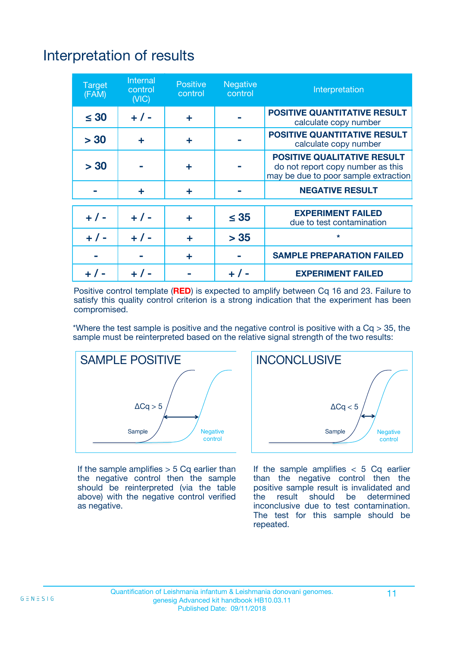# Interpretation of results

| <b>Target</b><br>(FAM) | <b>Internal</b><br>control<br>(NIC) | <b>Positive</b><br>control | <b>Negative</b><br>control | Interpretation                                                                                                  |
|------------------------|-------------------------------------|----------------------------|----------------------------|-----------------------------------------------------------------------------------------------------------------|
| $\leq 30$              | $+ 1 -$                             | ÷                          |                            | <b>POSITIVE QUANTITATIVE RESULT</b><br>calculate copy number                                                    |
| > 30                   | ٠                                   | ÷                          |                            | <b>POSITIVE QUANTITATIVE RESULT</b><br>calculate copy number                                                    |
| > 30                   |                                     | ÷                          |                            | <b>POSITIVE QUALITATIVE RESULT</b><br>do not report copy number as this<br>may be due to poor sample extraction |
|                        | ÷                                   | ÷                          |                            | <b>NEGATIVE RESULT</b>                                                                                          |
| $+ 1 -$                | $+ 1 -$                             | ÷                          | $\leq$ 35                  | <b>EXPERIMENT FAILED</b><br>due to test contamination                                                           |
| $+$ / -                | $+ 1 -$                             | ÷                          | > 35                       | $\star$                                                                                                         |
|                        |                                     | ÷                          |                            | <b>SAMPLE PREPARATION FAILED</b>                                                                                |
|                        |                                     |                            | $+$ /                      | <b>EXPERIMENT FAILED</b>                                                                                        |

Positive control template (**RED**) is expected to amplify between Cq 16 and 23. Failure to satisfy this quality control criterion is a strong indication that the experiment has been compromised.

\*Where the test sample is positive and the negative control is positive with a  $Ca > 35$ , the sample must be reinterpreted based on the relative signal strength of the two results:



If the sample amplifies  $> 5$  Cq earlier than the negative control then the sample should be reinterpreted (via the table above) with the negative control verified as negative.



If the sample amplifies  $< 5$  Cq earlier than the negative control then the positive sample result is invalidated and<br>the result should be determined  $the$  result should be inconclusive due to test contamination. The test for this sample should be repeated.